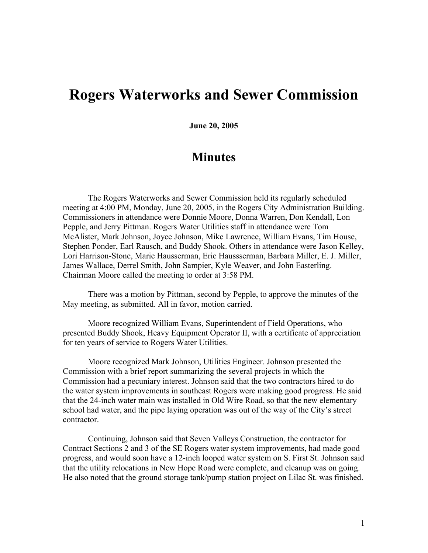## **Rogers Waterworks and Sewer Commission**

**June 20, 2005**

## **Minutes**

The Rogers Waterworks and Sewer Commission held its regularly scheduled meeting at 4:00 PM, Monday, June 20, 2005, in the Rogers City Administration Building. Commissioners in attendance were Donnie Moore, Donna Warren, Don Kendall, Lon Pepple, and Jerry Pittman. Rogers Water Utilities staff in attendance were Tom McAlister, Mark Johnson, Joyce Johnson, Mike Lawrence, William Evans, Tim House, Stephen Ponder, Earl Rausch, and Buddy Shook. Others in attendance were Jason Kelley, Lori Harrison-Stone, Marie Hausserman, Eric Haussserman, Barbara Miller, E. J. Miller, James Wallace, Derrel Smith, John Sampier, Kyle Weaver, and John Easterling. Chairman Moore called the meeting to order at 3:58 PM.

There was a motion by Pittman, second by Pepple, to approve the minutes of the May meeting, as submitted. All in favor, motion carried.

Moore recognized William Evans, Superintendent of Field Operations, who presented Buddy Shook, Heavy Equipment Operator II, with a certificate of appreciation for ten years of service to Rogers Water Utilities.

Moore recognized Mark Johnson, Utilities Engineer. Johnson presented the Commission with a brief report summarizing the several projects in which the Commission had a pecuniary interest. Johnson said that the two contractors hired to do the water system improvements in southeast Rogers were making good progress. He said that the 24-inch water main was installed in Old Wire Road, so that the new elementary school had water, and the pipe laying operation was out of the way of the City's street contractor.

Continuing, Johnson said that Seven Valleys Construction, the contractor for Contract Sections 2 and 3 of the SE Rogers water system improvements, had made good progress, and would soon have a 12-inch looped water system on S. First St. Johnson said that the utility relocations in New Hope Road were complete, and cleanup was on going. He also noted that the ground storage tank/pump station project on Lilac St. was finished.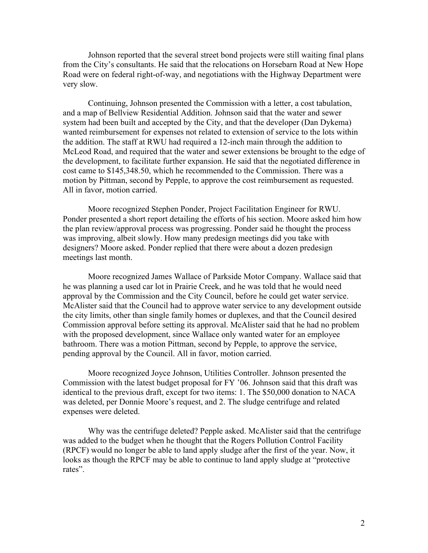Johnson reported that the several street bond projects were still waiting final plans from the City's consultants. He said that the relocations on Horsebarn Road at New Hope Road were on federal right-of-way, and negotiations with the Highway Department were very slow.

Continuing, Johnson presented the Commission with a letter, a cost tabulation, and a map of Bellview Residential Addition. Johnson said that the water and sewer system had been built and accepted by the City, and that the developer (Dan Dykema) wanted reimbursement for expenses not related to extension of service to the lots within the addition. The staff at RWU had required a 12-inch main through the addition to McLeod Road, and required that the water and sewer extensions be brought to the edge of the development, to facilitate further expansion. He said that the negotiated difference in cost came to \$145,348.50, which he recommended to the Commission. There was a motion by Pittman, second by Pepple, to approve the cost reimbursement as requested. All in favor, motion carried.

Moore recognized Stephen Ponder, Project Facilitation Engineer for RWU. Ponder presented a short report detailing the efforts of his section. Moore asked him how the plan review/approval process was progressing. Ponder said he thought the process was improving, albeit slowly. How many predesign meetings did you take with designers? Moore asked. Ponder replied that there were about a dozen predesign meetings last month.

Moore recognized James Wallace of Parkside Motor Company. Wallace said that he was planning a used car lot in Prairie Creek, and he was told that he would need approval by the Commission and the City Council, before he could get water service. McAlister said that the Council had to approve water service to any development outside the city limits, other than single family homes or duplexes, and that the Council desired Commission approval before setting its approval. McAlister said that he had no problem with the proposed development, since Wallace only wanted water for an employee bathroom. There was a motion Pittman, second by Pepple, to approve the service, pending approval by the Council. All in favor, motion carried.

Moore recognized Joyce Johnson, Utilities Controller. Johnson presented the Commission with the latest budget proposal for FY '06. Johnson said that this draft was identical to the previous draft, except for two items: 1. The \$50,000 donation to NACA was deleted, per Donnie Moore's request, and 2. The sludge centrifuge and related expenses were deleted.

Why was the centrifuge deleted? Pepple asked. McAlister said that the centrifuge was added to the budget when he thought that the Rogers Pollution Control Facility (RPCF) would no longer be able to land apply sludge after the first of the year. Now, it looks as though the RPCF may be able to continue to land apply sludge at "protective rates".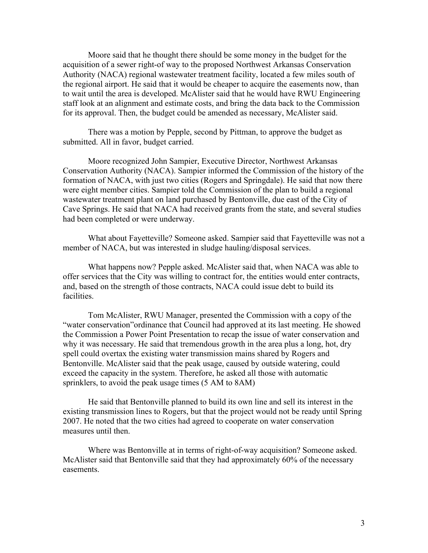Moore said that he thought there should be some money in the budget for the acquisition of a sewer right-of way to the proposed Northwest Arkansas Conservation Authority (NACA) regional wastewater treatment facility, located a few miles south of the regional airport. He said that it would be cheaper to acquire the easements now, than to wait until the area is developed. McAlister said that he would have RWU Engineering staff look at an alignment and estimate costs, and bring the data back to the Commission for its approval. Then, the budget could be amended as necessary, McAlister said.

There was a motion by Pepple, second by Pittman, to approve the budget as submitted. All in favor, budget carried.

Moore recognized John Sampier, Executive Director, Northwest Arkansas Conservation Authority (NACA). Sampier informed the Commission of the history of the formation of NACA, with just two cities (Rogers and Springdale). He said that now there were eight member cities. Sampier told the Commission of the plan to build a regional wastewater treatment plant on land purchased by Bentonville, due east of the City of Cave Springs. He said that NACA had received grants from the state, and several studies had been completed or were underway.

What about Fayetteville? Someone asked. Sampier said that Fayetteville was not a member of NACA, but was interested in sludge hauling/disposal services.

What happens now? Pepple asked. McAlister said that, when NACA was able to offer services that the City was willing to contract for, the entities would enter contracts, and, based on the strength of those contracts, NACA could issue debt to build its facilities.

Tom McAlister, RWU Manager, presented the Commission with a copy of the "water conservation"ordinance that Council had approved at its last meeting. He showed the Commission a Power Point Presentation to recap the issue of water conservation and why it was necessary. He said that tremendous growth in the area plus a long, hot, dry spell could overtax the existing water transmission mains shared by Rogers and Bentonville. McAlister said that the peak usage, caused by outside watering, could exceed the capacity in the system. Therefore, he asked all those with automatic sprinklers, to avoid the peak usage times (5 AM to 8AM)

He said that Bentonville planned to build its own line and sell its interest in the existing transmission lines to Rogers, but that the project would not be ready until Spring 2007. He noted that the two cities had agreed to cooperate on water conservation measures until then.

Where was Bentonville at in terms of right-of-way acquisition? Someone asked. McAlister said that Bentonville said that they had approximately 60% of the necessary easements.